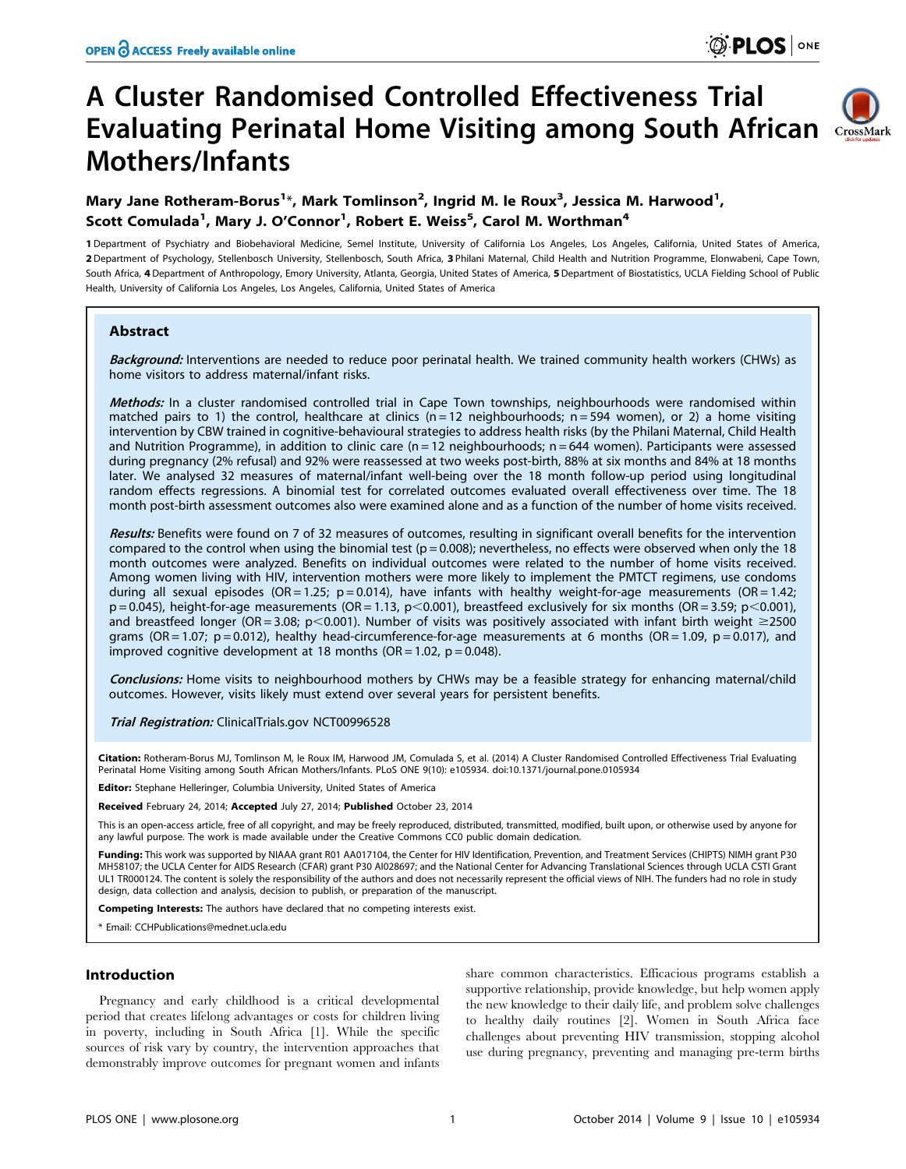# A Cluster Randomised Controlled Effectiveness Trial Evaluating Perinatal Home Visiting among South African Mothers/Infants



# Mary Jane Rotheram-Borus<sup>1\*</sup>, Mark Tomlinson<sup>2</sup>, Ingrid M. le Roux<sup>3</sup>, Jessica M. Harwood<sup>1</sup>, Scott Comulada<sup>1</sup>, Mary J. O'Connor<sup>1</sup>, Robert E. Weiss<sup>5</sup>, Carol M. Worthman<sup>4</sup>

1 Department of Psychiatry and Biobehavioral Medicine, Semel Institute, University of California Los Angeles, Los Angeles, California, United States of America, 2 Department of Psychology, Stellenbosch University, Stellenbosch, South Africa, 3 Philani Maternal, Child Health and Nutrition Programme, Elonwabeni, Cape Town, South Africa, 4 Department of Anthropology, Emory University, Atlanta, Georgia, United States of America, 5 Department of Biostatistics, UCLA Fielding School of Public Health, University of California Los Angeles, Los Angeles, California, United States of America

# Abstract

Background: Interventions are needed to reduce poor perinatal health. We trained community health workers (CHWs) as home visitors to address maternal/infant risks.

Methods: In a cluster randomised controlled trial in Cape Town townships, neighbourhoods were randomised within matched pairs to 1) the control, healthcare at clinics ( $n = 12$  neighbourhoods;  $n = 594$  women), or 2) a home visiting intervention by CBW trained in cognitive-behavioural strategies to address health risks (by the Philani Maternal, Child Health and Nutrition Programme), in addition to clinic care  $(n = 12$  neighbourhoods;  $n = 644$  women). Participants were assessed during pregnancy (2% refusal) and 92% were reassessed at two weeks post-birth, 88% at six months and 84% at 18 months later. We analysed 32 measures of maternal/infant well-being over the 18 month follow-up period using longitudinal random effects regressions. A binomial test for correlated outcomes evaluated overall effectiveness over time. The 18 month post-birth assessment outcomes also were examined alone and as a function of the number of home visits received.

Results: Benefits were found on 7 of 32 measures of outcomes, resulting in significant overall benefits for the intervention compared to the control when using the binomial test ( $p = 0.008$ ); nevertheless, no effects were observed when only the 18 month outcomes were analyzed. Benefits on individual outcomes were related to the number of home visits received. Among women living with HIV, intervention mothers were more likely to implement the PMTCT regimens, use condoms during all sexual episodes (OR = 1.25; p = 0.014), have infants with healthy weight-for-age measurements (OR = 1.42;  $p = 0.045$ ), height-for-age measurements (OR = 1.13,  $p < 0.001$ ), breastfeed exclusively for six months (OR = 3.59;  $p < 0.001$ ), and breastfeed longer (OR = 3.08; p<0.001). Number of visits was positively associated with infant birth weight  $\geq$ 2500 grams (OR = 1.07;  $p = 0.012$ ), healthy head-circumference-for-age measurements at 6 months (OR = 1.09,  $p = 0.017$ ), and improved cognitive development at 18 months (OR = 1.02,  $p = 0.048$ ).

Conclusions: Home visits to neighbourhood mothers by CHWs may be a feasible strategy for enhancing maternal/child outcomes. However, visits likely must extend over several years for persistent benefits.

Trial Registration: ClinicalTrials.gov [NCT00996528](http://clinicaltrials.gov/ct2/show/NCT00996528?term=nct00996528&rank=1)

Citation: Rotheram-Borus MJ, Tomlinson M, le Roux IM, Harwood JM, Comulada S, et al. (2014) A Cluster Randomised Controlled Effectiveness Trial Evaluating Perinatal Home Visiting among South African Mothers/Infants. PLoS ONE 9(10): e105934. doi:10.1371/journal.pone.0105934

Editor: Stephane Helleringer, Columbia University, United States of America

Received February 24, 2014; Accepted July 27, 2014; Published October 23, 2014

This is an open-access article, free of all copyright, and may be freely reproduced, distributed, transmitted, modified, built upon, or otherwise used by anyone for any lawful purpose. The work is made available under the Creative Commons CC0 public domain dedication.

Funding: This work was supported by NIAAA grant R01 AA017104, the Center for HIV Identification, Prevention, and Treatment Services (CHIPTS) NIMH grant P30 MH58107; the UCLA Center for AIDS Research (CFAR) grant P30 AI028697; and the National Center for Advancing Translational Sciences through UCLA CSTI Grant UL1 TR000124. The content is solely the responsibility of the authors and does not necessarily represent the official views of NIH. The funders had no role in study design, data collection and analysis, decision to publish, or preparation of the manuscript.

Competing Interests: The authors have declared that no competing interests exist.

\* Email: CCHPublications@mednet.ucla.edu

# Introduction

Pregnancy and early childhood is a critical developmental period that creates lifelong advantages or costs for children living in poverty, including in South Africa [1]. While the specific sources of risk vary by country, the intervention approaches that demonstrably improve outcomes for pregnant women and infants

share common characteristics. Efficacious programs establish a supportive relationship, provide knowledge, but help women apply the new knowledge to their daily life, and problem solve challenges to healthy daily routines [2]. Women in South Africa face challenges about preventing HIV transmission, stopping alcohol use during pregnancy, preventing and managing pre-term births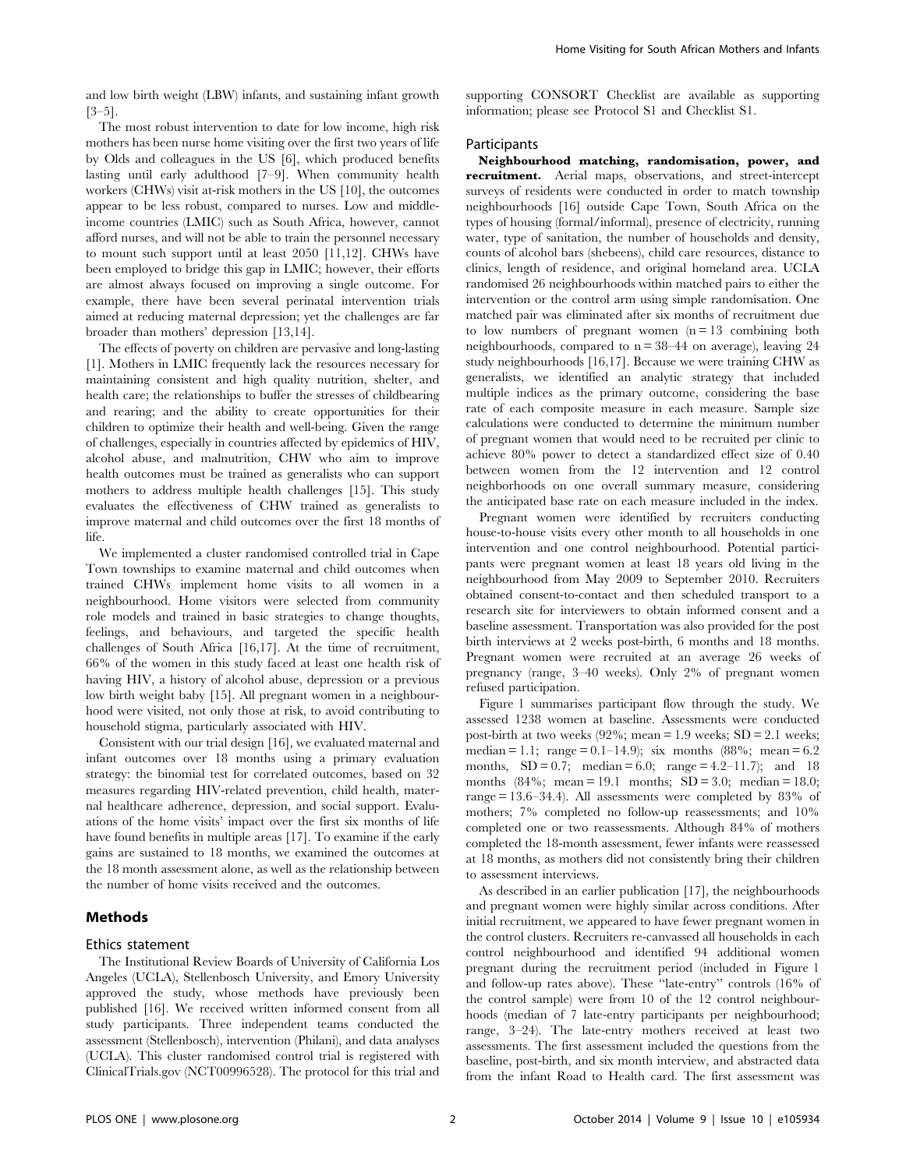The most robust intervention to date for low income, high risk mothers has been nurse home visiting over the first two years of life by Olds and colleagues in the US [6], which produced benefits lasting until early adulthood [7–9]. When community health workers (CHWs) visit at-risk mothers in the US [10], the outcomes appear to be less robust, compared to nurses. Low and middleincome countries (LMIC) such as South Africa, however, cannot afford nurses, and will not be able to train the personnel necessary to mount such support until at least 2050 [11,12]. CHWs have been employed to bridge this gap in LMIC; however, their efforts are almost always focused on improving a single outcome. For example, there have been several perinatal intervention trials aimed at reducing maternal depression; yet the challenges are far broader than mothers' depression [13,14].

The effects of poverty on children are pervasive and long-lasting [1]. Mothers in LMIC frequently lack the resources necessary for maintaining consistent and high quality nutrition, shelter, and health care; the relationships to buffer the stresses of childbearing and rearing; and the ability to create opportunities for their children to optimize their health and well-being. Given the range of challenges, especially in countries affected by epidemics of HIV, alcohol abuse, and malnutrition, CHW who aim to improve health outcomes must be trained as generalists who can support mothers to address multiple health challenges [15]. This study evaluates the effectiveness of CHW trained as generalists to improve maternal and child outcomes over the first 18 months of life.

We implemented a cluster randomised controlled trial in Cape Town townships to examine maternal and child outcomes when trained CHWs implement home visits to all women in a neighbourhood. Home visitors were selected from community role models and trained in basic strategies to change thoughts, feelings, and behaviours, and targeted the specific health challenges of South Africa [16,17]. At the time of recruitment, 66% of the women in this study faced at least one health risk of having HIV, a history of alcohol abuse, depression or a previous low birth weight baby [15]. All pregnant women in a neighbourhood were visited, not only those at risk, to avoid contributing to household stigma, particularly associated with HIV.

Consistent with our trial design [16], we evaluated maternal and infant outcomes over 18 months using a primary evaluation strategy: the binomial test for correlated outcomes, based on 32 measures regarding HIV-related prevention, child health, maternal healthcare adherence, depression, and social support. Evaluations of the home visits' impact over the first six months of life have found benefits in multiple areas [17]. To examine if the early gains are sustained to 18 months, we examined the outcomes at the 18 month assessment alone, as well as the relationship between the number of home visits received and the outcomes.

# Methods

# Ethics statement

The Institutional Review Boards of University of California Los Angeles (UCLA), Stellenbosch University, and Emory University approved the study, whose methods have previously been published [16]. We received written informed consent from all study participants. Three independent teams conducted the assessment (Stellenbosch), intervention (Philani), and data analyses (UCLA). This cluster randomised control trial is registered with ClinicalTrials.gov (NCT00996528). The protocol for this trial and supporting CONSORT Checklist are available as supporting information; please see Protocol S1 and Checklist S1.

# Participants

Neighbourhood matching, randomisation, power, and recruitment. Aerial maps, observations, and street-intercept surveys of residents were conducted in order to match township neighbourhoods [16] outside Cape Town, South Africa on the types of housing (formal/informal), presence of electricity, running water, type of sanitation, the number of households and density, counts of alcohol bars (shebeens), child care resources, distance to clinics, length of residence, and original homeland area. UCLA randomised 26 neighbourhoods within matched pairs to either the intervention or the control arm using simple randomisation. One matched pair was eliminated after six months of recruitment due to low numbers of pregnant women  $(n = 13$  combining both neighbourhoods, compared to  $n = 38-44$  on average), leaving 24 study neighbourhoods [16,17]. Because we were training CHW as generalists, we identified an analytic strategy that included multiple indices as the primary outcome, considering the base rate of each composite measure in each measure. Sample size calculations were conducted to determine the minimum number of pregnant women that would need to be recruited per clinic to achieve 80% power to detect a standardized effect size of 0.40 between women from the 12 intervention and 12 control neighborhoods on one overall summary measure, considering the anticipated base rate on each measure included in the index.

Pregnant women were identified by recruiters conducting house-to-house visits every other month to all households in one intervention and one control neighbourhood. Potential participants were pregnant women at least 18 years old living in the neighbourhood from May 2009 to September 2010. Recruiters obtained consent-to-contact and then scheduled transport to a research site for interviewers to obtain informed consent and a baseline assessment. Transportation was also provided for the post birth interviews at 2 weeks post-birth, 6 months and 18 months. Pregnant women were recruited at an average 26 weeks of pregnancy (range, 3–40 weeks). Only 2% of pregnant women refused participation.

Figure 1 summarises participant flow through the study. We assessed 1238 women at baseline. Assessments were conducted post-birth at two weeks  $(92\%; \text{mean} = 1.9 \text{ weeks}; SD = 2.1 \text{ weeks};$ median = 1.1; range = 0.1–14.9); six months  $(88\%; \text{mean} = 6.2)$ months,  $SD = 0.7$ ; median = 6.0; range = 4.2–11.7); and 18 months  $(84\%; \text{mean} = 19.1 \text{ months}; SD = 3.0; \text{median} = 18.0;$ range = 13.6–34.4). All assessments were completed by 83% of mothers; 7% completed no follow-up reassessments; and 10% completed one or two reassessments. Although 84% of mothers completed the 18-month assessment, fewer infants were reassessed at 18 months, as mothers did not consistently bring their children to assessment interviews.

As described in an earlier publication [17], the neighbourhoods and pregnant women were highly similar across conditions. After initial recruitment, we appeared to have fewer pregnant women in the control clusters. Recruiters re-canvassed all households in each control neighbourhood and identified 94 additional women pregnant during the recruitment period (included in Figure 1 and follow-up rates above). These ''late-entry'' controls (16% of the control sample) were from 10 of the 12 control neighbourhoods (median of 7 late-entry participants per neighbourhood; range, 3–24). The late-entry mothers received at least two assessments. The first assessment included the questions from the baseline, post-birth, and six month interview, and abstracted data from the infant Road to Health card. The first assessment was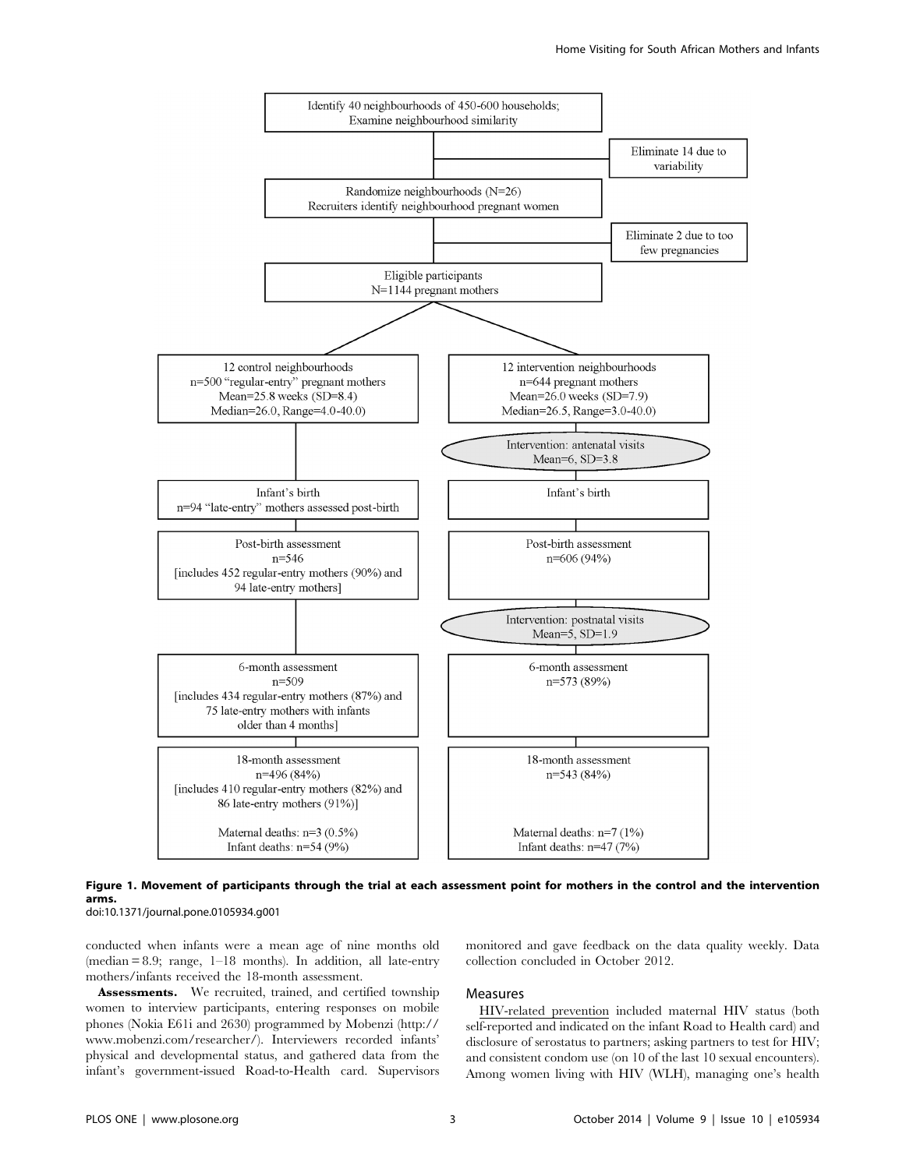

Figure 1. Movement of participants through the trial at each assessment point for mothers in the control and the intervention arms. doi:10.1371/journal.pone.0105934.g001

conducted when infants were a mean age of nine months old (median = 8.9; range, 1–18 months). In addition, all late-entry mothers/infants received the 18-month assessment.

Assessments. We recruited, trained, and certified township women to interview participants, entering responses on mobile phones (Nokia E61i and 2630) programmed by Mobenzi ([http://](http://www.mobenzi.com/researcher/) [www.mobenzi.com/researcher/\)](http://www.mobenzi.com/researcher/). Interviewers recorded infants' physical and developmental status, and gathered data from the infant's government-issued Road-to-Health card. Supervisors monitored and gave feedback on the data quality weekly. Data collection concluded in October 2012.

### Measures

HIV-related prevention included maternal HIV status (both self-reported and indicated on the infant Road to Health card) and disclosure of serostatus to partners; asking partners to test for HIV; and consistent condom use (on 10 of the last 10 sexual encounters). Among women living with HIV (WLH), managing one's health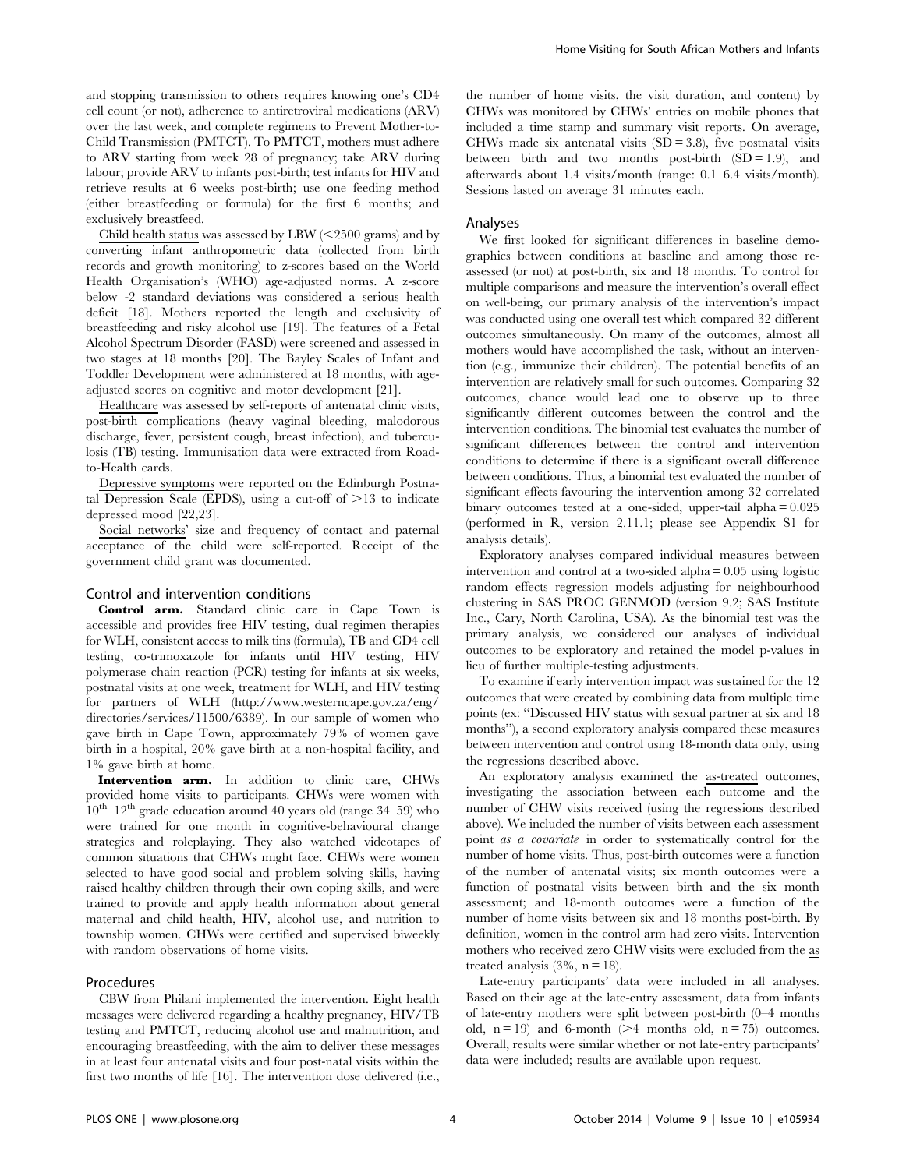and stopping transmission to others requires knowing one's CD4 cell count (or not), adherence to antiretroviral medications (ARV) over the last week, and complete regimens to Prevent Mother-to-Child Transmission (PMTCT). To PMTCT, mothers must adhere to ARV starting from week 28 of pregnancy; take ARV during labour; provide ARV to infants post-birth; test infants for HIV and retrieve results at 6 weeks post-birth; use one feeding method (either breastfeeding or formula) for the first 6 months; and exclusively breastfeed.

Child health status was assessed by LBW  $\left( \text{<}2500 \text{ grams} \right)$  and by converting infant anthropometric data (collected from birth records and growth monitoring) to z-scores based on the World Health Organisation's (WHO) age-adjusted norms. A z-score below -2 standard deviations was considered a serious health deficit [18]. Mothers reported the length and exclusivity of breastfeeding and risky alcohol use [19]. The features of a Fetal Alcohol Spectrum Disorder (FASD) were screened and assessed in two stages at 18 months [20]. The Bayley Scales of Infant and Toddler Development were administered at 18 months, with ageadjusted scores on cognitive and motor development [21].

Healthcare was assessed by self-reports of antenatal clinic visits, post-birth complications (heavy vaginal bleeding, malodorous discharge, fever, persistent cough, breast infection), and tuberculosis (TB) testing. Immunisation data were extracted from Roadto-Health cards.

Depressive symptoms were reported on the Edinburgh Postnatal Depression Scale (EPDS), using a cut-off of  $>13$  to indicate depressed mood [22,23].

Social networks' size and frequency of contact and paternal acceptance of the child were self-reported. Receipt of the government child grant was documented.

#### Control and intervention conditions

Control arm. Standard clinic care in Cape Town is accessible and provides free HIV testing, dual regimen therapies for WLH, consistent access to milk tins (formula), TB and CD4 cell testing, co-trimoxazole for infants until HIV testing, HIV polymerase chain reaction (PCR) testing for infants at six weeks, postnatal visits at one week, treatment for WLH, and HIV testing for partners of WLH ([http://www.westerncape.gov.za/eng/](http://www.westerncape.gov.za/eng/directories/services/11500/6389) [directories/services/11500/6389](http://www.westerncape.gov.za/eng/directories/services/11500/6389)). In our sample of women who gave birth in Cape Town, approximately 79% of women gave birth in a hospital, 20% gave birth at a non-hospital facility, and 1% gave birth at home.

Intervention arm. In addition to clinic care, CHWs provided home visits to participants. CHWs were women with  $10^{th}$ – $12^{th}$  grade education around 40 years old (range 34–59) who were trained for one month in cognitive-behavioural change strategies and roleplaying. They also watched videotapes of common situations that CHWs might face. CHWs were women selected to have good social and problem solving skills, having raised healthy children through their own coping skills, and were trained to provide and apply health information about general maternal and child health, HIV, alcohol use, and nutrition to township women. CHWs were certified and supervised biweekly with random observations of home visits.

# Procedures

CBW from Philani implemented the intervention. Eight health messages were delivered regarding a healthy pregnancy, HIV/TB testing and PMTCT, reducing alcohol use and malnutrition, and encouraging breastfeeding, with the aim to deliver these messages in at least four antenatal visits and four post-natal visits within the first two months of life [16]. The intervention dose delivered (i.e., the number of home visits, the visit duration, and content) by CHWs was monitored by CHWs' entries on mobile phones that included a time stamp and summary visit reports. On average, CHWs made six antenatal visits  $(SD = 3.8)$ , five postnatal visits between birth and two months post-birth  $(SD = 1.9)$ , and afterwards about 1.4 visits/month (range: 0.1–6.4 visits/month). Sessions lasted on average 31 minutes each.

#### Analyses

We first looked for significant differences in baseline demographics between conditions at baseline and among those reassessed (or not) at post-birth, six and 18 months. To control for multiple comparisons and measure the intervention's overall effect on well-being, our primary analysis of the intervention's impact was conducted using one overall test which compared 32 different outcomes simultaneously. On many of the outcomes, almost all mothers would have accomplished the task, without an intervention (e.g., immunize their children). The potential benefits of an intervention are relatively small for such outcomes. Comparing 32 outcomes, chance would lead one to observe up to three significantly different outcomes between the control and the intervention conditions. The binomial test evaluates the number of significant differences between the control and intervention conditions to determine if there is a significant overall difference between conditions. Thus, a binomial test evaluated the number of significant effects favouring the intervention among 32 correlated binary outcomes tested at a one-sided, upper-tail alpha = 0.025 (performed in R, version 2.11.1; please see Appendix S1 for analysis details).

Exploratory analyses compared individual measures between intervention and control at a two-sided alpha = 0.05 using logistic random effects regression models adjusting for neighbourhood clustering in SAS PROC GENMOD (version 9.2; SAS Institute Inc., Cary, North Carolina, USA). As the binomial test was the primary analysis, we considered our analyses of individual outcomes to be exploratory and retained the model p-values in lieu of further multiple-testing adjustments.

To examine if early intervention impact was sustained for the 12 outcomes that were created by combining data from multiple time points (ex: ''Discussed HIV status with sexual partner at six and 18 months''), a second exploratory analysis compared these measures between intervention and control using 18-month data only, using the regressions described above.

An exploratory analysis examined the as-treated outcomes, investigating the association between each outcome and the number of CHW visits received (using the regressions described above). We included the number of visits between each assessment point as a covariate in order to systematically control for the number of home visits. Thus, post-birth outcomes were a function of the number of antenatal visits; six month outcomes were a function of postnatal visits between birth and the six month assessment; and 18-month outcomes were a function of the number of home visits between six and 18 months post-birth. By definition, women in the control arm had zero visits. Intervention mothers who received zero CHW visits were excluded from the as treated analysis  $(3\%, n = 18)$ .

Late-entry participants' data were included in all analyses. Based on their age at the late-entry assessment, data from infants of late-entry mothers were split between post-birth (0–4 months old,  $n = 19$ ) and 6-month ( $>4$  months old,  $n = 75$ ) outcomes. Overall, results were similar whether or not late-entry participants' data were included; results are available upon request.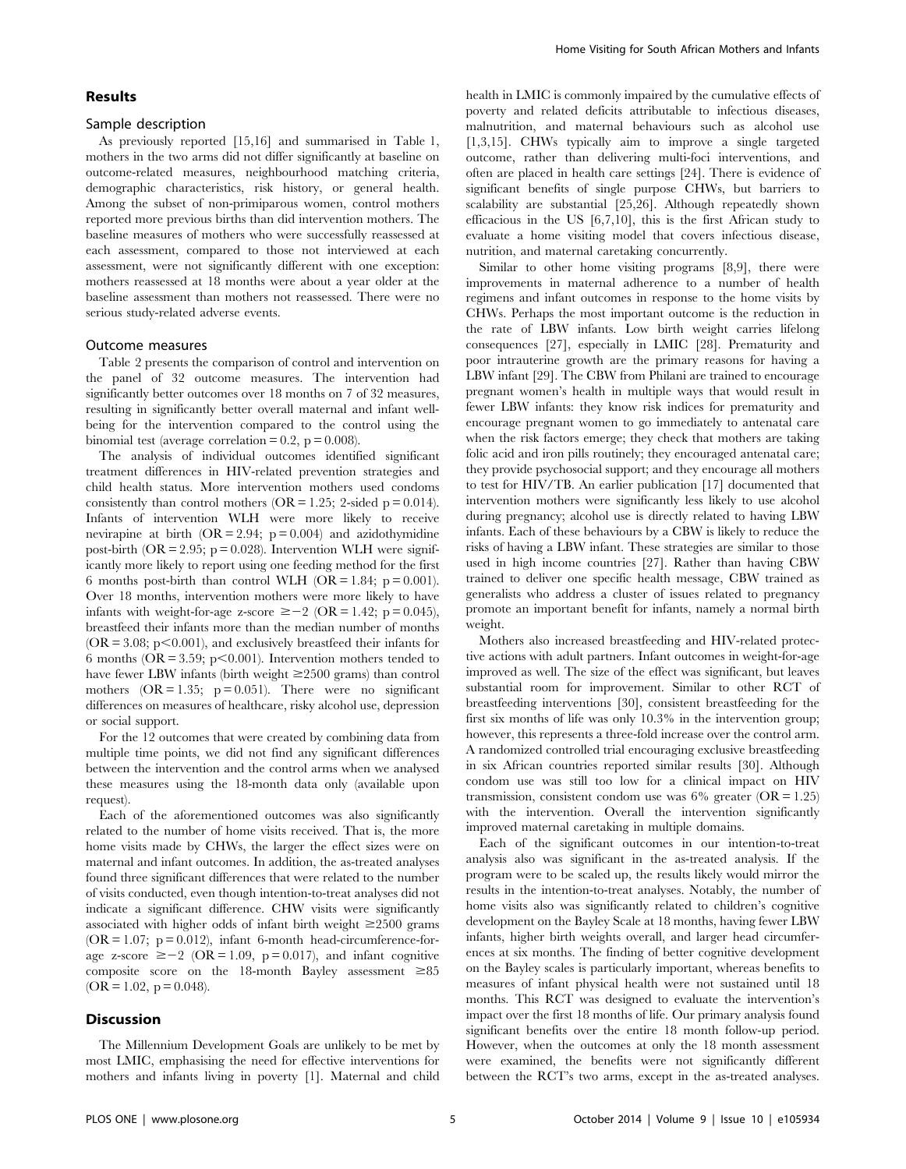## Results

#### Sample description

As previously reported [15,16] and summarised in Table 1, mothers in the two arms did not differ significantly at baseline on outcome-related measures, neighbourhood matching criteria, demographic characteristics, risk history, or general health. Among the subset of non-primiparous women, control mothers reported more previous births than did intervention mothers. The baseline measures of mothers who were successfully reassessed at each assessment, compared to those not interviewed at each assessment, were not significantly different with one exception: mothers reassessed at 18 months were about a year older at the baseline assessment than mothers not reassessed. There were no serious study-related adverse events.

#### Outcome measures

Table 2 presents the comparison of control and intervention on the panel of 32 outcome measures. The intervention had significantly better outcomes over 18 months on 7 of 32 measures, resulting in significantly better overall maternal and infant wellbeing for the intervention compared to the control using the binomial test (average correlation  $= 0.2$ , p  $= 0.008$ ).

The analysis of individual outcomes identified significant treatment differences in HIV-related prevention strategies and child health status. More intervention mothers used condoms consistently than control mothers  $(OR = 1.25; 2$ -sided  $p = 0.014$ ). Infants of intervention WLH were more likely to receive nevirapine at birth  $(OR = 2.94; p = 0.004)$  and azidothymidine post-birth (OR = 2.95;  $p = 0.028$ ). Intervention WLH were significantly more likely to report using one feeding method for the first 6 months post-birth than control WLH (OR = 1.84;  $p = 0.001$ ). Over 18 months, intervention mothers were more likely to have infants with weight-for-age z-score  $\geq -2$  (OR = 1.42; p = 0.045), breastfeed their infants more than the median number of months  $(OR = 3.08; p < 0.001)$ , and exclusively breastfeed their infants for 6 months ( $OR = 3.59$ ;  $p < 0.001$ ). Intervention mothers tended to have fewer LBW infants (birth weight  $\geq$  2500 grams) than control mothers  $(OR = 1.35; p = 0.051)$ . There were no significant differences on measures of healthcare, risky alcohol use, depression or social support.

For the 12 outcomes that were created by combining data from multiple time points, we did not find any significant differences between the intervention and the control arms when we analysed these measures using the 18-month data only (available upon request).

Each of the aforementioned outcomes was also significantly related to the number of home visits received. That is, the more home visits made by CHWs, the larger the effect sizes were on maternal and infant outcomes. In addition, the as-treated analyses found three significant differences that were related to the number of visits conducted, even though intention-to-treat analyses did not indicate a significant difference. CHW visits were significantly associated with higher odds of infant birth weight  $\geq 2500$  grams  $(OR = 1.07; p = 0.012)$ , infant 6-month head-circumference-forage z-score  $\geq -2$  (OR = 1.09, p = 0.017), and infant cognitive composite score on the 18-month Bayley assessment  $\geq 85$  $(OR = 1.02, p = 0.048).$ 

#### **Discussion**

The Millennium Development Goals are unlikely to be met by most LMIC, emphasising the need for effective interventions for mothers and infants living in poverty [1]. Maternal and child health in LMIC is commonly impaired by the cumulative effects of poverty and related deficits attributable to infectious diseases, malnutrition, and maternal behaviours such as alcohol use [1,3,15]. CHWs typically aim to improve a single targeted outcome, rather than delivering multi-foci interventions, and often are placed in health care settings [24]. There is evidence of significant benefits of single purpose CHWs, but barriers to scalability are substantial [25,26]. Although repeatedly shown efficacious in the US [6,7,10], this is the first African study to evaluate a home visiting model that covers infectious disease, nutrition, and maternal caretaking concurrently.

Similar to other home visiting programs [8,9], there were improvements in maternal adherence to a number of health regimens and infant outcomes in response to the home visits by CHWs. Perhaps the most important outcome is the reduction in the rate of LBW infants. Low birth weight carries lifelong consequences [27], especially in LMIC [28]. Prematurity and poor intrauterine growth are the primary reasons for having a LBW infant [29]. The CBW from Philani are trained to encourage pregnant women's health in multiple ways that would result in fewer LBW infants: they know risk indices for prematurity and encourage pregnant women to go immediately to antenatal care when the risk factors emerge; they check that mothers are taking folic acid and iron pills routinely; they encouraged antenatal care; they provide psychosocial support; and they encourage all mothers to test for HIV/TB. An earlier publication [17] documented that intervention mothers were significantly less likely to use alcohol during pregnancy; alcohol use is directly related to having LBW infants. Each of these behaviours by a CBW is likely to reduce the risks of having a LBW infant. These strategies are similar to those used in high income countries [27]. Rather than having CBW trained to deliver one specific health message, CBW trained as generalists who address a cluster of issues related to pregnancy promote an important benefit for infants, namely a normal birth weight.

Mothers also increased breastfeeding and HIV-related protective actions with adult partners. Infant outcomes in weight-for-age improved as well. The size of the effect was significant, but leaves substantial room for improvement. Similar to other RCT of breastfeeding interventions [30], consistent breastfeeding for the first six months of life was only 10.3% in the intervention group; however, this represents a three-fold increase over the control arm. A randomized controlled trial encouraging exclusive breastfeeding in six African countries reported similar results [30]. Although condom use was still too low for a clinical impact on HIV transmission, consistent condom use was  $6\%$  greater (OR = 1.25) with the intervention. Overall the intervention significantly improved maternal caretaking in multiple domains.

Each of the significant outcomes in our intention-to-treat analysis also was significant in the as-treated analysis. If the program were to be scaled up, the results likely would mirror the results in the intention-to-treat analyses. Notably, the number of home visits also was significantly related to children's cognitive development on the Bayley Scale at 18 months, having fewer LBW infants, higher birth weights overall, and larger head circumferences at six months. The finding of better cognitive development on the Bayley scales is particularly important, whereas benefits to measures of infant physical health were not sustained until 18 months. This RCT was designed to evaluate the intervention's impact over the first 18 months of life. Our primary analysis found significant benefits over the entire 18 month follow-up period. However, when the outcomes at only the 18 month assessment were examined, the benefits were not significantly different between the RCT's two arms, except in the as-treated analyses.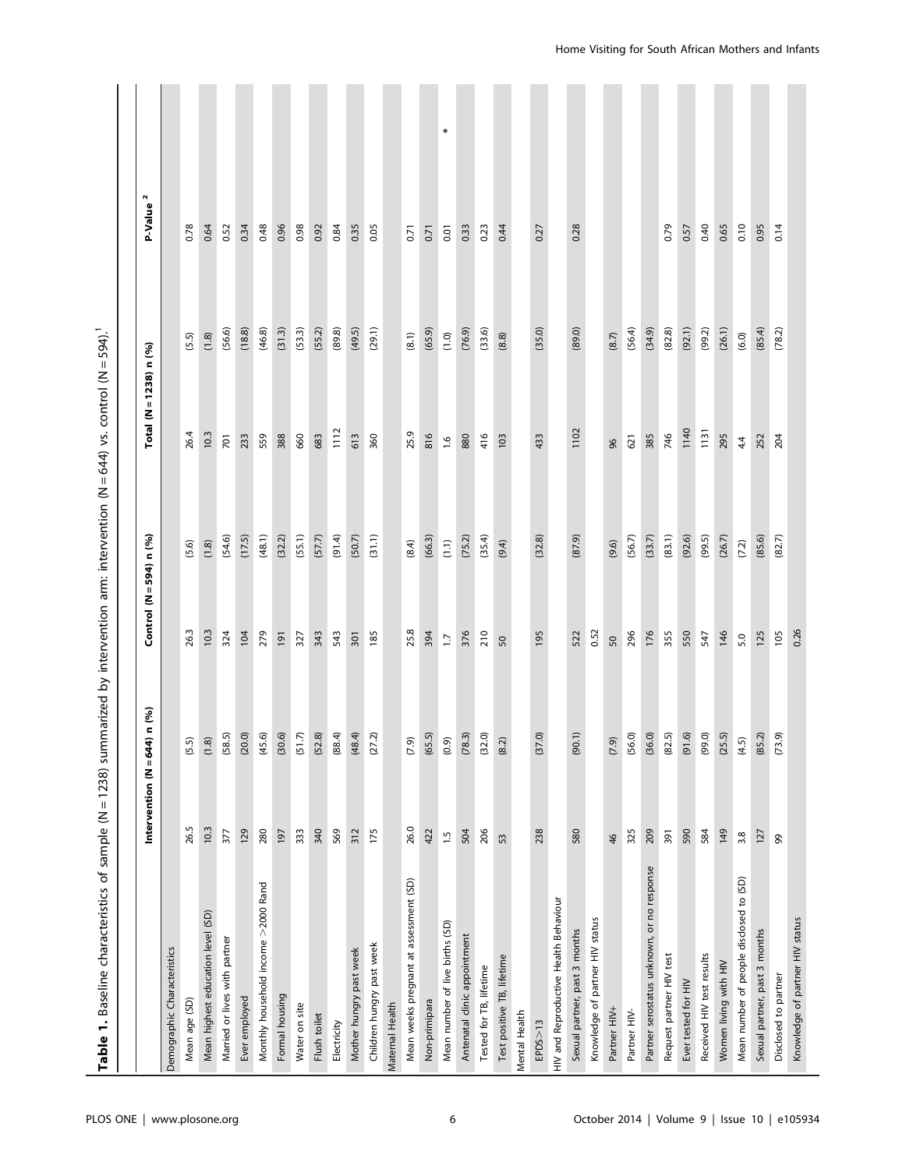| Table 1. Baseline characteristics of sample (N = 1238) summarized by intervention arm: intervention (N = 644) vs. control (N = 594). <sup>1</sup> |                         |                      |                             |        |                        |        |                      |
|---------------------------------------------------------------------------------------------------------------------------------------------------|-------------------------|----------------------|-----------------------------|--------|------------------------|--------|----------------------|
|                                                                                                                                                   | Intervention ( $N = 64$ | 4) n (%)             | Control ( $N = 594$ ) n (%) |        | Total (N = 1238) n (%) |        | P-Value <sup>2</sup> |
| Demographic Characteristics                                                                                                                       |                         |                      |                             |        |                        |        |                      |
| Mean age (SD)                                                                                                                                     | 26.5                    |                      | 26.3                        | (5.6)  | 26.4                   | (5.5)  | 0.78                 |
| Mean highest education level (SD)                                                                                                                 | 10.3                    | $(5.5)$<br>(1.8)     | 10.3                        | (1.8)  | 10.3                   | (1.8)  | 0.64                 |
| Married or lives with partner                                                                                                                     | 377                     | (58.5)               | 324                         | (54.6) | 701                    | (56.6) | 0.52                 |
| Ever employed                                                                                                                                     | 129                     | (20.0)               | 104                         | (17.5) | 233                    | (18.8) | 0.34                 |
| Monthly household income >2000 Rand                                                                                                               | 280                     | (45.6)               | 279                         | (48.1) | 559                    | (46.8) | 0.48                 |
| Formal housing                                                                                                                                    | 197                     |                      | 191                         | (32.2) | 388                    | (31.3) | 0.96                 |
| Water on site                                                                                                                                     | 333                     | $(30.6)$<br>$(51.7)$ | 327                         | (55.1) | 660                    | (53.3) | 0.98                 |
| Flush toilet                                                                                                                                      | 340                     | (52.8)               | 343                         | (57.7) | 683                    | (55.2) | 0.92                 |
| Electricity                                                                                                                                       | 569                     | (88.4)               | 543                         | (91.4) | 1112                   | (89.8) | 0.84                 |
| Mother hungry past week                                                                                                                           | 312                     | (48.4)               | 301                         | (50.7) | 613                    | (49.5) | 0.35                 |
| Children hungry past week                                                                                                                         | 175                     | (27.2)               | 185                         | (31.1) | 360                    | (29.1) | 0.05                 |
| Maternal Health                                                                                                                                   |                         |                      |                             |        |                        |        |                      |
| Mean weeks pregnant at assessment (SD)                                                                                                            | 26.0                    | (7.9)                | 25.8                        | (8.4)  | 25.9                   | (8.1)  | 0.71                 |
| Non-primipara                                                                                                                                     | 422                     | (65.5)               | 394                         | (66.3) | 816                    | (65.9) | 0.71                 |
| Mean number of live births (SD)                                                                                                                   | $\frac{5}{1}$           | (0.9)                | $\overline{11}$             | (1.1)  | $\frac{6}{1}$          | (1.0)  | $\ast$<br>0.01       |
| Antenatal clinic appointment                                                                                                                      | 504                     | (78.3)               | 376                         | (75.2) | 880                    | (76.9) | 0.33                 |
| Tested for TB, lifetime                                                                                                                           | 206                     | (32.0)               | 210                         | (35.4) | 416                    | (33.6) | 0.23                 |
| Test positive TB, lifetime                                                                                                                        | 53                      | (8.2)                | 50                          | (9.4)  | 103                    | (8.8)  | 0.44                 |
| Mental Health                                                                                                                                     |                         |                      |                             |        |                        |        |                      |
| EPDS>13                                                                                                                                           | 238                     | (37.0)               | 195                         | (32.8) | 433                    | (35.0) | 0.27                 |
| HIV and Reproductive Health Behaviour                                                                                                             |                         |                      |                             |        |                        |        |                      |
| Sexual partner, past 3 months                                                                                                                     | 580                     | (90.1)               | 522                         | (87.9) | 1102                   | (89.0) | 0.28                 |
| Knowledge of partner HIV status                                                                                                                   |                         |                      | 0.52                        |        |                        |        |                      |
| Partner HIV+                                                                                                                                      | $\frac{4}{6}$           | (7.9)                | 50                          | (9.6)  | 96                     | (8.7)  |                      |
| Partner HIV-                                                                                                                                      | 325                     | (56.0)               | 296                         | (56.7) | 621                    | (56.4) |                      |
| Partner serostatus unknown, or no response                                                                                                        | 209                     | (36.0)               | 176                         | (33.7) | 385                    | (34.9) |                      |
| Request partner HIV test                                                                                                                          | 391                     | (82.5)               | 355                         | (83.1) | 746                    | (82.8) | 0.79                 |
| Ever tested for HIV                                                                                                                               | 590                     | (91.6)               | 550                         | (92.6) | 1140                   | (92.1) | 0.57                 |
| Received HIV test results                                                                                                                         | 584                     | (99.0)               | 547                         | (99.5) | 1131                   | (99.2) | 0.40                 |
| Women living with HIV                                                                                                                             | 149                     | (25.5)               | 146                         | (26.7) | 295                    | (26.1) | 0.65                 |
| Mean number of people disclosed to (SD)                                                                                                           | 3.8                     | (4.5)                | 5.0                         | (7.2)  | 4.4                    | (6.0)  | 0.10                 |
| Sexual partner, past 3 months                                                                                                                     | 127                     | (85.2)               | 125                         | (85.6) | 252                    | (85.4) | 0.95                 |
| Disclosed to partner                                                                                                                              | 99                      | (73.9)               | 105                         | (82.7) | 204                    | (78.2) | 0.14                 |
| Knowledge of partner HIV status                                                                                                                   |                         |                      | 0.26                        |        |                        |        |                      |
|                                                                                                                                                   |                         |                      |                             |        |                        |        |                      |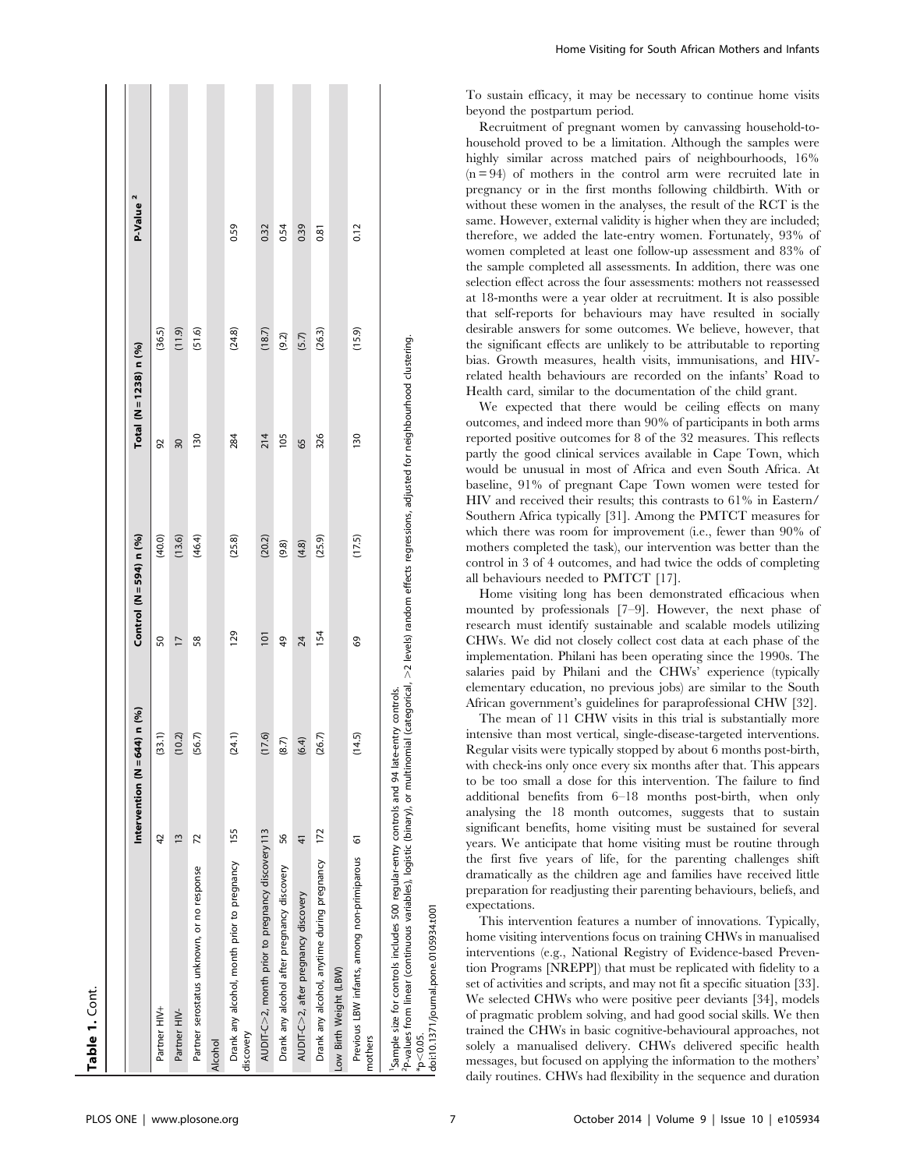| Table 1. Cont.                                                                                                                                                                                                                                                                                                                                                     |                                |               |                             |        |                          |        |                      |
|--------------------------------------------------------------------------------------------------------------------------------------------------------------------------------------------------------------------------------------------------------------------------------------------------------------------------------------------------------------------|--------------------------------|---------------|-----------------------------|--------|--------------------------|--------|----------------------|
|                                                                                                                                                                                                                                                                                                                                                                    | Intervention (N = 644) $n$ (%) |               | Control ( $N = 594$ ) n (%) |        | Total (N = 1238) n $(%)$ |        | P-Value <sup>2</sup> |
| Partner HIV+                                                                                                                                                                                                                                                                                                                                                       | 42                             | (33.1)        | 50                          | (40.0) | 92                       | (36.5) |                      |
| Partner HIV-                                                                                                                                                                                                                                                                                                                                                       | $\tilde{1}$                    | (10.2)        | $\overline{17}$             | (13.6) | 30                       | (11.9) |                      |
| Partner serostatus unknown, or no response                                                                                                                                                                                                                                                                                                                         | 72                             | (56.7)        | 58                          | (46.4) | 130                      | (51.6) |                      |
| Alcohol                                                                                                                                                                                                                                                                                                                                                            |                                |               |                             |        |                          |        |                      |
| Drank any alcohol, month prior to pregnancy<br>discovery                                                                                                                                                                                                                                                                                                           | 155                            | (24.1)        | 129                         | (25.8) | 284                      | (24.8) | 0.59                 |
| AUDIT-C>2, month prior to pregnancy discovery 113                                                                                                                                                                                                                                                                                                                  |                                | 7.6)<br>$\Xi$ | 101                         | (20.2) | 214                      | (18.7) | 0.32                 |
| Drank any alcohol after pregnancy discovery                                                                                                                                                                                                                                                                                                                        | 56                             | (8.7)         | 49                          | (9.8)  | 105                      | (9.2)  | 0.54                 |
| AUDIT-C>2, after pregnancy discovery                                                                                                                                                                                                                                                                                                                               | $\frac{4}{3}$                  | (6.4)         | 24                          | (4.8)  | 65                       | (5.7)  | 0.39                 |
| Drank any alcohol, anytime during pregnancy                                                                                                                                                                                                                                                                                                                        | 172                            | (26.7)        | 154                         | (25.9) | 326                      | (26.3) | 0.81                 |
| Low Birth Weight (LBW)                                                                                                                                                                                                                                                                                                                                             |                                |               |                             |        |                          |        |                      |
| Previous LBW infants, among non-primiparous<br>mothers                                                                                                                                                                                                                                                                                                             | 6                              | (14.5)        | 69                          | (17.5) | 130                      | (15.9) | 0.12                 |
| <sup>2</sup> P-values from linear (continuous variables), logistic (binary), or multinomial (categorical, >2 levels) random effects regressions, adjusted for neighbourhood clustering.<br><sup>1</sup> Sample size for controls includes 500 regular-entry controls and 94 late-entry controls.<br>doi:10.1371/journal.pone.0105934.t001<br>$*_{\text{D}}<0.05$ . |                                |               |                             |        |                          |        |                      |

To sustain efficacy, it may be necessary to continue home visits beyond the postpartum period.

Recruitment of pregnant women by canvassing household-tohousehold proved to be a limitation. Although the samples were highly similar across matched pairs of neighbourhoods,  $16\%$  $(n = 94)$  of mothers in the control arm were recruited late in pregnancy or in the first months following childbirth. With or without these women in the analyses, the result of the RCT is the same. However, external validity is higher when they are included; therefore, we added the late-entry women. Fortunately, 93% of women completed at least one follow-up assessment and 83% of the sample completed all assessments. In addition, there was one selection effect across the four assessments: mothers not reassessed at 18-months were a year older at recruitment. It is also possible that self-reports for behaviours may have resulted in socially desirable answers for some outcomes. We believe, however, that the significant effects are unlikely to be attributable to reporting bias. Growth measures, health visits, immunisations, and HIVrelated health behaviours are recorded on the infants' Road to Health card, similar to the documentation of the child grant.

We expected that there would be ceiling effects on many outcomes, and indeed more than 90% of participants in both arms reported positive outcomes for 8 of the 32 measures. This reflects partly the good clinical services available in Cape Town, which would be unusual in most of Africa and even South Africa. At baseline, 91% of pregnant Cape Town women were tested for HIV and received their results; this contrasts to 61% in Eastern/ Southern Africa typically [31]. Among the PMTCT measures for which there was room for improvement (i.e., fewer than 90% of mothers completed the task), our intervention was better than the control in 3 of 4 outcomes, and had twice the odds of completing all behaviours needed to PMTCT [17].

Home visiting long has been demonstrated efficacious when mounted by professionals [7–9]. However, the next phase of research must identify sustainable and scalable models utilizing CHWs. We did not closely collect cost data at each phase of the implementation. Philani has been operating since the 1990s. The salaries paid by Philani and the CHWs' experience (typically elementary education, no previous jobs) are similar to the South African government's guidelines for paraprofessional CHW [32].

The mean of 11 CHW visits in this trial is substantially more intensive than most vertical, single-disease-targeted interventions. Regular visits were typically stopped by about 6 months post-birth, with check-ins only once every six months after that. This appears to be too small a dose for this intervention. The failure to find additional benefits from 6–18 months post-birth, when only analysing the 18 month outcomes, suggests that to sustain significant benefits, home visiting must be sustained for several years. We anticipate that home visiting must be routine through the first five years of life, for the parenting challenges shift dramatically as the children age and families have received little preparation for readjusting their parenting behaviours, beliefs, and expectations.

This intervention features a number of innovations. Typically, home visiting interventions focus on training CHWs in manualised interventions (e.g., National Registry of Evidence-based Prevention Programs [NREPP]) that must be replicated with fidelity to a set of activities and scripts, and may not fit a specific situation [33]. We selected CHWs who were positive peer deviants [34], models of pragmatic problem solving, and had good social skills. We then trained the CHWs in basic cognitive-behavioural approaches, not solely a manualised delivery. CHWs delivered specific health messages, but focused on applying the information to the mothers' daily routines. CHWs had flexibility in the sequence and duration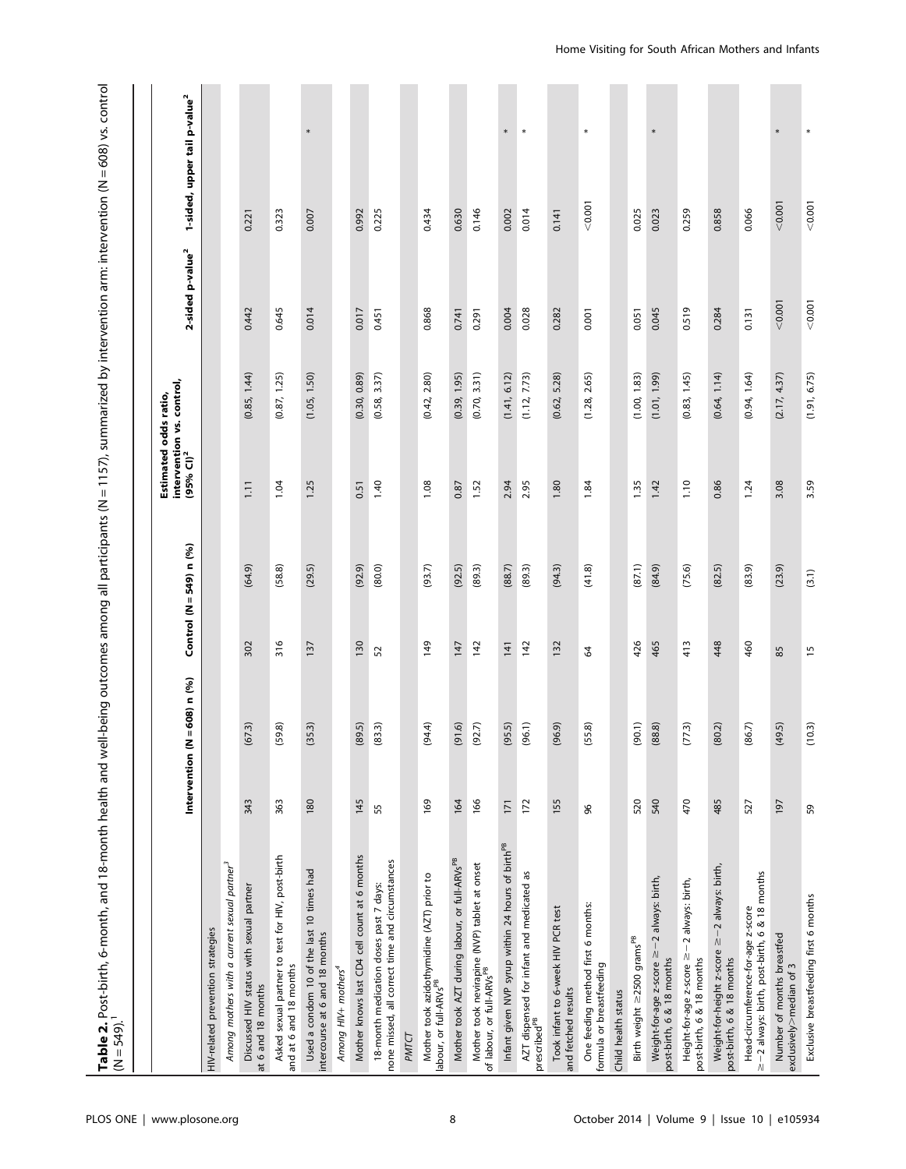| Table 2. Post-birth, 6-month, and 18-month health and well-being outcomes among all participants (N = 1157), summarized by intervention arm: intervention (N = 608) vs. control | Estimated odds ratio, |
|---------------------------------------------------------------------------------------------------------------------------------------------------------------------------------|-----------------------|
| $V = 549$                                                                                                                                                                       |                       |

|                                                                                           |     | Intervention ( $N = 608$ ) n (%) | Control (N = 549) n (%) |        | intervention vs. control,<br>(95% Cl) <sup>2</sup><br>Estimated odds ratio, |              | 2-sided p-value <sup>2</sup> | 1-sided, upper tail p-value <sup>2</sup> |
|-------------------------------------------------------------------------------------------|-----|----------------------------------|-------------------------|--------|-----------------------------------------------------------------------------|--------------|------------------------------|------------------------------------------|
| HIV-related prevention strategies                                                         |     |                                  |                         |        |                                                                             |              |                              |                                          |
| Among mothers with a current sexual partner <sup>3</sup>                                  |     |                                  |                         |        |                                                                             |              |                              |                                          |
| Discussed HIV status with sexual partner<br>at 6 and 18 months                            | 343 | (67.3)                           | 302                     | (64.9) | $\overline{111}$                                                            | (0.85, 1.44) | 0.442                        | 0.221                                    |
| Asked sexual partner to test for HIV, post-birth<br>and at 6 and 18 months                | 363 | (59.8)                           | 316                     | (58.8) | 1.04                                                                        | (0.87, 1.25) | 0.645                        | 0.323                                    |
| Used a condom 10 of the last 10 times had<br>intercourse at 6 and 18 months               | 180 | (35.3)                           | 137                     | (29.5) | 1.25                                                                        | (1.05, 1.50) | 0.014                        | *<br>0.007                               |
| Among HIV+ mothers <sup>4</sup>                                                           |     |                                  |                         |        |                                                                             |              |                              |                                          |
| Mother knows last CD4 cell count at 6 months                                              | 145 | (89.5)                           | 130                     | (92.9) | 0.51                                                                        | (0.30, 0.89) | 0.017                        | 0.992                                    |
| none missed, all correct time and circumstances<br>18-month medication doses past 7 days: | 55  | (83.3)                           | 52                      | (80.0) | 1.40                                                                        | (0.58, 3.37) | 0.451                        | 0.225                                    |
| PMTCT                                                                                     |     |                                  |                         |        |                                                                             |              |                              |                                          |
| Mother took azidothymidine (AZT) prior to<br>labour, or full-ARVs <sup>PB</sup>           | 169 | (94.4)                           | 149                     | (93.7) | 1.08                                                                        | (0.42, 2.80) | 0.868                        | 0.434                                    |
| Mother took AZT during labour, or full-ARVsPB                                             | 164 | (91.6)                           | 147                     | (92.5) | 0.87                                                                        | (0.39, 1.95) | 0.741                        | 0.630                                    |
| Mother took nevirapine (NVP) tablet at onset<br>of labour, or full-ARVs <sup>PB</sup>     | 166 | (92.7)                           | 142                     | (89.3) | 1.52                                                                        | (0.70, 3.31) | 0.291                        | 0.146                                    |
| Infant given NVP syrup within 24 hours of birth <sup>PB</sup>                             | 171 | (95.5)                           | 141                     | (88.7) | 2.94                                                                        | (1.41, 6.12) | 0.004                        | $\ast$<br>0.002                          |
| AZT dispensed for infant and medicated as<br>prescribed <sup>pB</sup>                     | 172 | (96.1)                           | 142                     | (89.3) | 2.95                                                                        | (1.12, 7.73) | 0.028                        | ¥<br>0.014                               |
| Took infant to 6-week HIV PCR test<br>and fetched results                                 | 155 | (96.9)                           | 132                     | (94.3) | 1.80                                                                        | (0.62, 5.28) | 0.282                        | 0.141                                    |
| One feeding method first 6 months:<br>formula or breastfeeding                            | 96  | (55.8)                           | 8                       | (41.8) | 1.84                                                                        | (1.28, 2.65) | 0.001                        | $\ast$<br>< 0.001                        |
| Child health status                                                                       |     |                                  |                         |        |                                                                             |              |                              |                                          |
| Birth weight ≥2500 grams <sup>PB</sup>                                                    | 520 | (90.1)                           | 426                     | (87.1) | 1.35                                                                        | (1.00, 1.83) | 0.051                        | 0.025                                    |
| Weight-for-age z-score ≥-2 always: birth,<br>post-birth, 6 & 18 months                    | 540 | (88.8)                           | 465                     | (84.9) | 1.42                                                                        | (1.01, 1.99) | 0.045                        | ∗<br>0.023                               |
| Height-for-age z-score ≥-2 always: birth,<br>post-birth, 6 & 18 months                    | 470 | (77.3)                           | 413                     | (75.6) | 1.10                                                                        | (0.83, 1.45) | 0.519                        | 0.259                                    |
| Weight-for-height z-score ≥-2 always: birth,<br>post-birth, 6 & 18 months                 | 485 | (80.2)                           | 448                     | (82.5) | 0.86                                                                        | (0.64, 1.14) | 0.284                        | 0.858                                    |
| ≥-2 always: birth, post-birth, 6 & 18 months<br>Head-circumference-for-age z-score        | 527 | (86.7)                           | 460                     | (83.9) | 1.24                                                                        | (0.94, 1.64) | 0.131                        | 0.066                                    |
| Number of months breastfed<br>exclusively>median of 3                                     | 197 | (49.5)                           | 85                      | (23.9) | 3.08                                                                        | (2.17, 4.37) | < 0.001                      | $\ast$<br>< 0.001                        |
| Exclusive breastfeeding first 6 months                                                    | 59  | (10.3)                           | $\frac{15}{2}$          | (3.1)  | 3.59                                                                        | (1.91, 6.75) | < 0.001                      | ×<br>< 0.001                             |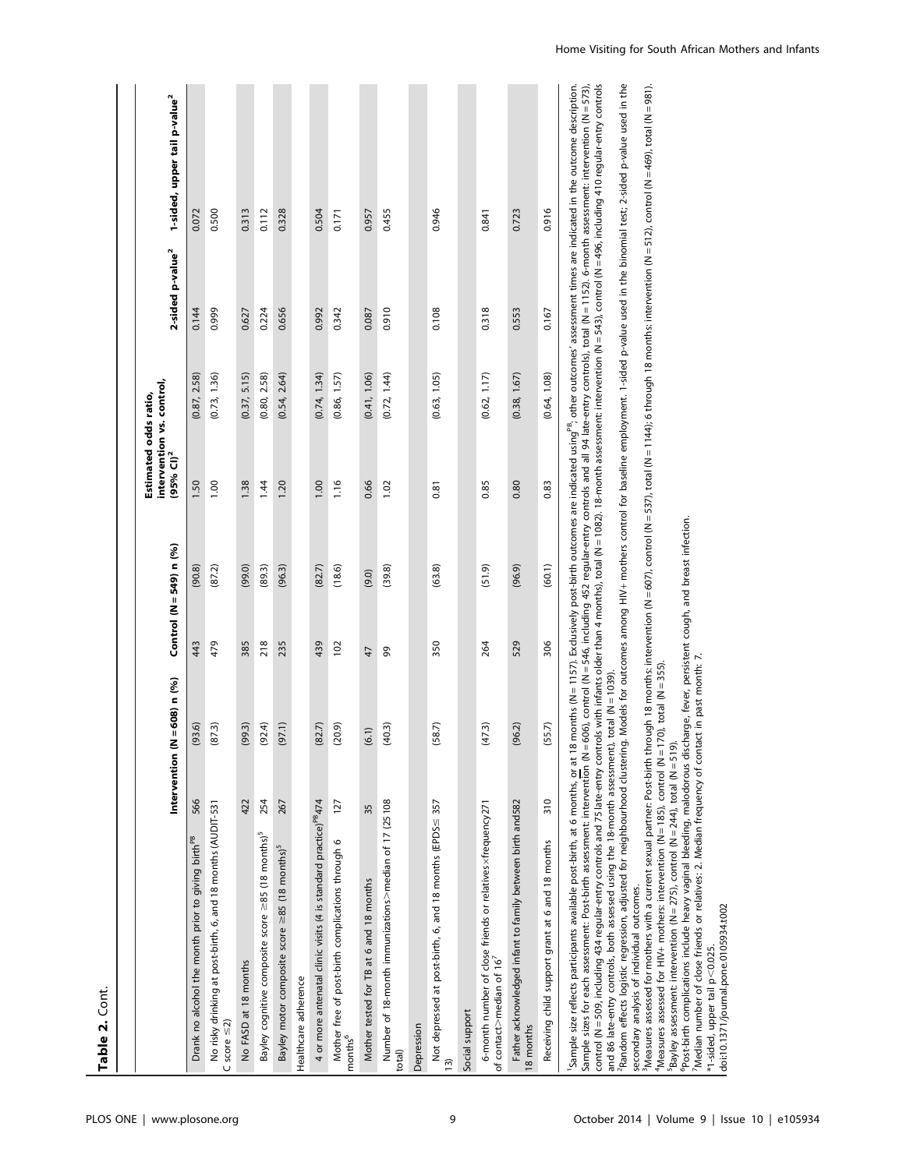|                                                                                                                                                                                                                                                                                                                                                                                                                                                                                                                                                                                                                                                                                                 |     |                                  |     |                       | Estimated odds ratio,                              |              |                              |                                                                                                                                                                                                                                                                                                                 |
|-------------------------------------------------------------------------------------------------------------------------------------------------------------------------------------------------------------------------------------------------------------------------------------------------------------------------------------------------------------------------------------------------------------------------------------------------------------------------------------------------------------------------------------------------------------------------------------------------------------------------------------------------------------------------------------------------|-----|----------------------------------|-----|-----------------------|----------------------------------------------------|--------------|------------------------------|-----------------------------------------------------------------------------------------------------------------------------------------------------------------------------------------------------------------------------------------------------------------------------------------------------------------|
|                                                                                                                                                                                                                                                                                                                                                                                                                                                                                                                                                                                                                                                                                                 |     | Intervention ( $N = 608$ ) n (%) |     | Control (N=549) n (%) | intervention vs. control,<br>(95% Cl) <sup>2</sup> |              | 2-sided p-value <sup>2</sup> | 1-sided, upper tail p-value <sup>2</sup>                                                                                                                                                                                                                                                                        |
| Drank no alcohol the month prior to giving birth <sup>PB</sup>                                                                                                                                                                                                                                                                                                                                                                                                                                                                                                                                                                                                                                  | 566 | (93.6)                           | 443 | (90.8)                | 1.50                                               | (0.87, 2.58) | 0.144                        | 0.072                                                                                                                                                                                                                                                                                                           |
| No risky drinking at post-birth, 6, and 18 months (AUDIT-531<br>C score $\leq$ 2)                                                                                                                                                                                                                                                                                                                                                                                                                                                                                                                                                                                                               |     | (87.3)                           | 479 | (87.2)                | 1.00                                               | (0.73, 1.36) | 0.999                        | 0.500                                                                                                                                                                                                                                                                                                           |
| No FASD at 18 months                                                                                                                                                                                                                                                                                                                                                                                                                                                                                                                                                                                                                                                                            | 422 | (99.3)                           | 385 | (99.0)                | 1.38                                               | (0.37, 5.15) | 0.627                        | 0.313                                                                                                                                                                                                                                                                                                           |
| Bayley cognitive composite score ≥85 (18 months) <sup>5</sup>                                                                                                                                                                                                                                                                                                                                                                                                                                                                                                                                                                                                                                   | 254 | (92.4)                           | 218 | (89.3)                | 1.44                                               | (0.80, 2.58) | 0.224                        | 0.112                                                                                                                                                                                                                                                                                                           |
| Bayley motor composite score ≥85 (18 months) <sup>5</sup>                                                                                                                                                                                                                                                                                                                                                                                                                                                                                                                                                                                                                                       | 267 | (97.1)                           | 235 | (96.3)                | 1.20                                               | (0.54, 2.64) | 0.656                        | 0.328                                                                                                                                                                                                                                                                                                           |
| Healthcare adherence                                                                                                                                                                                                                                                                                                                                                                                                                                                                                                                                                                                                                                                                            |     |                                  |     |                       |                                                    |              |                              |                                                                                                                                                                                                                                                                                                                 |
| 4 or more antenatal clinic visits (4 is standard practice) <sup>P8</sup> 474                                                                                                                                                                                                                                                                                                                                                                                                                                                                                                                                                                                                                    |     | (82.7)                           | 439 | (82.7)                | 00.1                                               | (0.74, 1.34) | 0.992                        | 0.504                                                                                                                                                                                                                                                                                                           |
| Mother free of post-birth complications through 6<br>months <sup>6</sup>                                                                                                                                                                                                                                                                                                                                                                                                                                                                                                                                                                                                                        | 127 | (20.9)                           | 102 | (18.6)                | 1.16                                               | (0.86, 1.57) | 0.342                        | 0.171                                                                                                                                                                                                                                                                                                           |
| Mother tested for TB at 6 and 18 months                                                                                                                                                                                                                                                                                                                                                                                                                                                                                                                                                                                                                                                         | 35  | (6.1)                            | 47  | (9.0)                 | 0.66                                               | (0.41, 1.06) | 0.087                        | 0.957                                                                                                                                                                                                                                                                                                           |
| Number of 18-month immunizations>median of 17 (25108<br>total)                                                                                                                                                                                                                                                                                                                                                                                                                                                                                                                                                                                                                                  |     | (40.3)                           | 99  | (39.8)                | 1.02                                               | (0.72, 1.44) | 0.910                        | 0.455                                                                                                                                                                                                                                                                                                           |
| Depression                                                                                                                                                                                                                                                                                                                                                                                                                                                                                                                                                                                                                                                                                      |     |                                  |     |                       |                                                    |              |                              |                                                                                                                                                                                                                                                                                                                 |
| Not depressed at post-birth, 6, and 18 months (EPDS $\leq$ 357<br>$\overline{13}$                                                                                                                                                                                                                                                                                                                                                                                                                                                                                                                                                                                                               |     | (58.7)                           | 350 | (63.8)                | 0.81                                               | (0.63, 1.05) | 0.108                        | 0.946                                                                                                                                                                                                                                                                                                           |
| Social support                                                                                                                                                                                                                                                                                                                                                                                                                                                                                                                                                                                                                                                                                  |     |                                  |     |                       |                                                    |              |                              |                                                                                                                                                                                                                                                                                                                 |
| 6-month number of close friends or relatives xfrequency271<br>of contact>median of $167$                                                                                                                                                                                                                                                                                                                                                                                                                                                                                                                                                                                                        |     | (47.3)                           | 264 | (51.9)                | 0.85                                               | (0.62, 1.17) | 0.318                        | 0.841                                                                                                                                                                                                                                                                                                           |
| Father acknowledged infant to family between birth and582<br>8 months                                                                                                                                                                                                                                                                                                                                                                                                                                                                                                                                                                                                                           |     | (96.2)                           | 529 | (96.9)                | 0.80                                               | (0.38, 1.67) | 0.553                        | 0.723                                                                                                                                                                                                                                                                                                           |
| Receiving child support grant at 6 and 18 months                                                                                                                                                                                                                                                                                                                                                                                                                                                                                                                                                                                                                                                | 310 | (55.7)                           | 306 | (60.1)                | 0.83                                               | (0.64, 1.08) | 0.167                        | 0.916                                                                                                                                                                                                                                                                                                           |
| control (N = 509, including 434 regular-entry controls and 75 late-entry controls with infants older than 4 months), total (N = 1082). 18-month assessment: intervention (N = 543), control (N = 496, including 410 regular-en<br><sup>1</sup> Sample size reflects participants available post-birth, at 6 months, <u>or</u> at 18 months (N = 1157). Exclusively post-birth outcomes are indicated using™, other outcomes' assessment times are indicated in the outcome des<br>and 86 late-entry controls, both assessed using the 18-month assessment),<br>PRandom effects logistic regression, adjusted for neighbourhood clustering<br>secondary analysis of individual outcomes.<br>3Mac |     | total $(N = 1039)$ .             |     |                       |                                                    |              |                              | . Models for outcomes among HIV+ mothers control for baseline employment. 1-sided p-value used in the binomial test; 2-sided p-value used in the<br>months (N = 1157). Exclusively post-birth outcomes are indicated using $^{19}$ , other outcomes' assessment times are indicated in the outcome description. |

<sup>3</sup>Measures assessed for mothers with a current sexual partner: Post-birth through 18 months: intervention (N = 607), control (N = 537), total (N = 1144); 6 through 18 months: intervention (N = 409), total (N = 981).<br>"Me <sup>3</sup>Measures assessed for mothers with a current sexual partner: Post-birth through 18 months: intervention (N = 507), control (N = 537), total (N = 1144); 6 through 18 months: intervention (N = 981).<br><sup>4</sup>Measures assessed

6Post-birth complications include heavy vaginal bleeding, malodorous discharge, fever, persistent cough, and breast infection.

7Median number of close friends or relatives: 2. Median frequency of contact in past month: 7.

\*1-sided, upper tail p

doi:10.1371/journal.pone.0105934.t002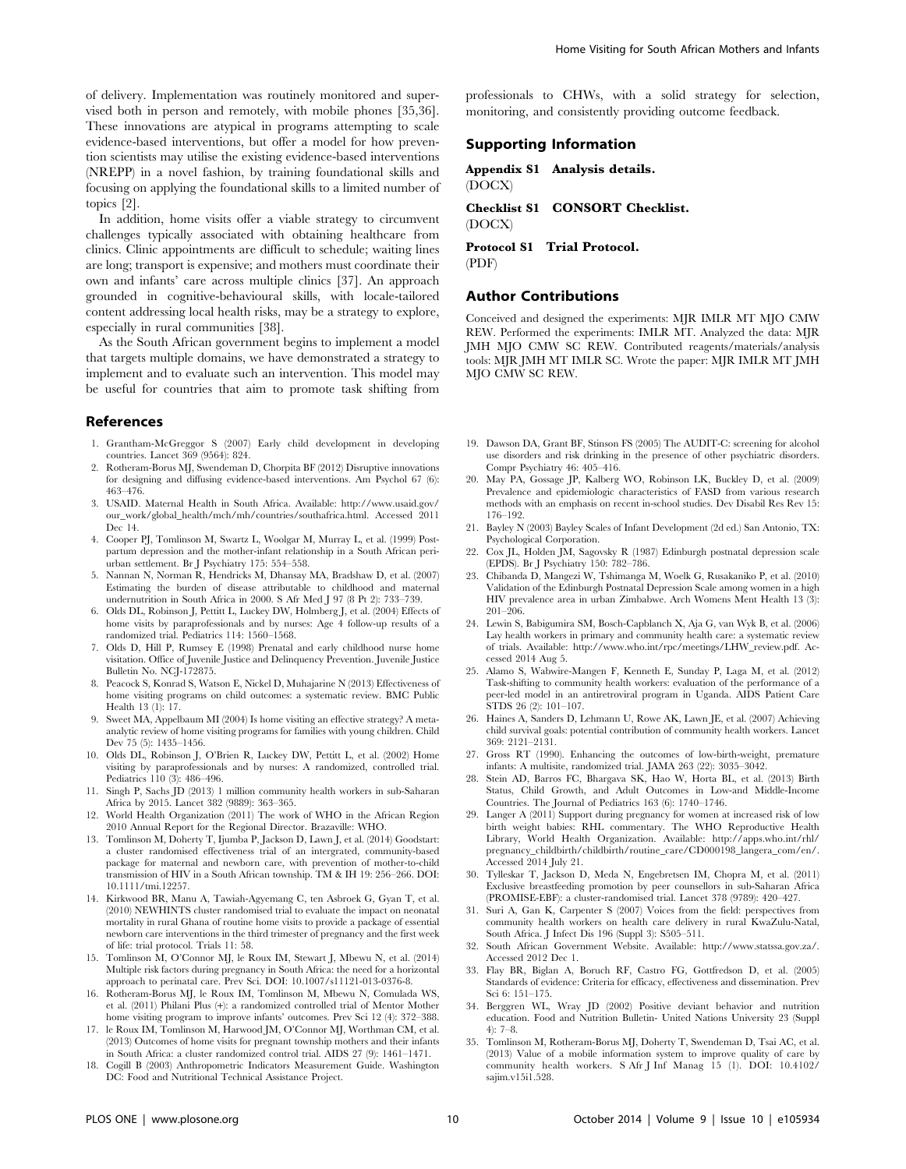of delivery. Implementation was routinely monitored and supervised both in person and remotely, with mobile phones [35,36]. These innovations are atypical in programs attempting to scale evidence-based interventions, but offer a model for how prevention scientists may utilise the existing evidence-based interventions (NREPP) in a novel fashion, by training foundational skills and focusing on applying the foundational skills to a limited number of topics [2].

In addition, home visits offer a viable strategy to circumvent challenges typically associated with obtaining healthcare from clinics. Clinic appointments are difficult to schedule; waiting lines are long; transport is expensive; and mothers must coordinate their own and infants' care across multiple clinics [37]. An approach grounded in cognitive-behavioural skills, with locale-tailored content addressing local health risks, may be a strategy to explore, especially in rural communities [38].

As the South African government begins to implement a model that targets multiple domains, we have demonstrated a strategy to implement and to evaluate such an intervention. This model may be useful for countries that aim to promote task shifting from

## References

- 1. Grantham-McGreggor S (2007) Early child development in developing countries. Lancet 369 (9564): 824.
- 2. Rotheram-Borus MJ, Swendeman D, Chorpita BF (2012) Disruptive innovations for designing and diffusing evidence-based interventions. Am Psychol 67 (6): 463–476.
- 3. USAID. Maternal Health in South Africa. Available: [http://www.usaid.gov/](http://www.usaid.gov/our_work/global_health/mch/mh/countries/southafrica.html) [our\\_work/global\\_health/mch/mh/countries/southafrica.html.](http://www.usaid.gov/our_work/global_health/mch/mh/countries/southafrica.html) Accessed 2011 Dec 14.
- 4. Cooper PJ, Tomlinson M, Swartz L, Woolgar M, Murray L, et al. (1999) Postpartum depression and the mother-infant relationship in a South African periurban settlement. Br J Psychiatry 175: 554–558.
- 5. Nannan N, Norman R, Hendricks M, Dhansay MA, Bradshaw D, et al. (2007) Estimating the burden of disease attributable to childhood and maternal undernutrition in South Africa in 2000. S Afr Med J 97 (8 Pt 2): 733–739.
- 6. Olds DL, Robinson J, Pettitt L, Luckey DW, Holmberg J, et al. (2004) Effects of home visits by paraprofessionals and by nurses: Age 4 follow-up results of a randomized trial. Pediatrics 114: 1560–1568.
- 7. Olds D, Hill P, Rumsey E (1998) Prenatal and early childhood nurse home visitation. Office of Juvenile Justice and Delinquency Prevention. Juvenile Justice Bulletin No. NCJ-172875.
- 8. Peacock S, Konrad S, Watson E, Nickel D, Muhajarine N (2013) Effectiveness of home visiting programs on child outcomes: a systematic review. BMC Public Health 13 (1): 17.
- 9. Sweet MA, Appelbaum MI (2004) Is home visiting an effective strategy? A metaanalytic review of home visiting programs for families with young children. Child Dev 75 (5): 1435–1456.
- 10. Olds DL, Robinson J, O'Brien R, Luckey DW, Pettitt L, et al. (2002) Home visiting by paraprofessionals and by nurses: A randomized, controlled trial. Pediatrics 110 (3): 486–496.
- 11. Singh P, Sachs JD (2013) 1 million community health workers in sub-Saharan Africa by 2015. Lancet 382 (9889): 363–365.
- 12. World Health Organization (2011) The work of WHO in the African Region 2010 Annual Report for the Regional Director. Brazaville: WHO.
- 13. Tomlinson M, Doherty T, Ijumba P, Jackson D, Lawn J, et al. (2014) Goodstart: a cluster randomised effectiveness trial of an intergrated, community-based package for maternal and newborn care, with prevention of mother-to-child transmission of HIV in a South African township. TM & IH 19: 256–266. DOI: 10.1111/tmi.12257.
- 14. Kirkwood BR, Manu A, Tawiah-Agyemang C, ten Asbroek G, Gyan T, et al. (2010) NEWHINTS cluster randomised trial to evaluate the impact on neonatal mortality in rural Ghana of routine home visits to provide a package of essential newborn care interventions in the third trimester of pregnancy and the first week of life: trial protocol. Trials 11: 58.
- 15. Tomlinson M, O'Connor MJ, le Roux IM, Stewart J, Mbewu N, et al. (2014) Multiple risk factors during pregnancy in South Africa: the need for a horizontal approach to perinatal care. Prev Sci. DOI: 10.1007/s11121-013-0376-8.
- 16. Rotheram-Borus MJ, le Roux IM, Tomlinson M, Mbewu N, Comulada WS, et al. (2011) Philani Plus (+): a randomized controlled trial of Mentor Mother home visiting program to improve infants' outcomes. Prev Sci 12 (4): 372–388.
- 17. le Roux IM, Tomlinson M, Harwood JM, O'Connor MJ, Worthman CM, et al. (2013) Outcomes of home visits for pregnant township mothers and their infants in South Africa: a cluster randomized control trial. AIDS 27 (9): 1461–1471.
- 18. Cogill B (2003) Anthropometric Indicators Measurement Guide. Washington DC: Food and Nutritional Technical Assistance Project.

professionals to CHWs, with a solid strategy for selection, monitoring, and consistently providing outcome feedback.

# Supporting Information

Appendix S1 Analysis details. (DOCX)

Checklist S1 CONSORT Checklist. (DOCX)

Protocol S1 Trial Protocol. (PDF)

#### Author Contributions

Conceived and designed the experiments: MJR IMLR MT MJO CMW REW. Performed the experiments: IMLR MT. Analyzed the data: MJR JMH MJO CMW SC REW. Contributed reagents/materials/analysis tools: MJR JMH MT IMLR SC. Wrote the paper: MJR IMLR MT JMH MJO CMW SC REW.

- 19. Dawson DA, Grant BF, Stinson FS (2005) The AUDIT-C: screening for alcohol use disorders and risk drinking in the presence of other psychiatric disorders. Compr Psychiatry 46: 405–416.
- 20. May PA, Gossage JP, Kalberg WO, Robinson LK, Buckley D, et al. (2009) Prevalence and epidemiologic characteristics of FASD from various research methods with an emphasis on recent in-school studies. Dev Disabil Res Rev 15: 176–192.
- 21. Bayley N (2003) Bayley Scales of Infant Development (2d ed.) San Antonio, TX: Psychological Corporation.
- 22. Cox JL, Holden JM, Sagovsky R (1987) Edinburgh postnatal depression scale (EPDS). Br J Psychiatry 150: 782–786.
- 23. Chibanda D, Mangezi W, Tshimanga M, Woelk G, Rusakaniko P, et al. (2010) Validation of the Edinburgh Postnatal Depression Scale among women in a high HIV prevalence area in urban Zimbabwe. Arch Womens Ment Health 13 (3): 201–206.
- 24. Lewin S, Babigumira SM, Bosch-Capblanch X, Aja G, van Wyk B, et al. (2006) Lay health workers in primary and community health care: a systematic review of trials. Available: [http://www.who.int/rpc/meetings/LHW\\_review.pdf](http://www.who.int/rpc/meetings/LHW_review.pdf). Accessed 2014 Aug 5.
- 25. Alamo S, Wabwire-Mangen F, Kenneth E, Sunday P, Laga M, et al. (2012) Task-shifting to community health workers: evaluation of the performance of a peer-led model in an antiretroviral program in Uganda. AIDS Patient Care STDS 26 (2): 101–107.
- 26. Haines A, Sanders D, Lehmann U, Rowe AK, Lawn JE, et al. (2007) Achieving child survival goals: potential contribution of community health workers. Lancet 369: 2121–2131.
- 27. Gross RT (1990). Enhancing the outcomes of low-birth-weight, premature infants: A multisite, randomized trial. JAMA 263 (22): 3035–3042.
- 28. Stein AD, Barros FC, Bhargava SK, Hao W, Horta BL, et al. (2013) Birth Status, Child Growth, and Adult Outcomes in Low-and Middle-Income Countries. The Journal of Pediatrics 163 (6): 1740–1746.
- 29. Langer A (2011) Support during pregnancy for women at increased risk of low birth weight babies: RHL commentary. The WHO Reproductive Health Library, World Health Organization. Available: [http://apps.who.int/rhl/](http://apps.who.int/rhl/pregnancy_childbirth/childbirth/routine_care/CD000198_langera_com/en/) [pregnancy\\_childbirth/childbirth/routine\\_care/CD000198\\_langera\\_com/en/](http://apps.who.int/rhl/pregnancy_childbirth/childbirth/routine_care/CD000198_langera_com/en/). Accessed 2014 July 21.
- 30. Tylleskar T, Jackson D, Meda N, Engebretsen IM, Chopra M, et al. (2011) Exclusive breastfeeding promotion by peer counsellors in sub-Saharan Africa (PROMISE-EBF): a cluster-randomised trial. Lancet 378 (9789): 420–427.
- 31. Suri A, Gan K, Carpenter S (2007) Voices from the field: perspectives from community health workers on health care delivery in rural KwaZulu-Natal, South Africa. J Infect Dis 196 (Suppl 3): S505–511.
- 32. South African Government Website. Available:<http://www.statssa.gov.za/>. Accessed 2012 Dec 1.
- 33. Flay BR, Biglan A, Boruch RF, Castro FG, Gottfredson D, et al. (2005) Standards of evidence: Criteria for efficacy, effectiveness and dissemination. Prev Sci 6: 151–175.
- 34. Berggren WL, Wray JD (2002) Positive deviant behavior and nutrition education. Food and Nutrition Bulletin- United Nations University 23 (Suppl 4): 7–8.
- 35. Tomlinson M, Rotheram-Borus MJ, Doherty T, Swendeman D, Tsai AC, et al. (2013) Value of a mobile information system to improve quality of care by community health workers. S Afr J Inf Manag 15 (1). DOI: 10.4102/ sajim.v15i1.528.